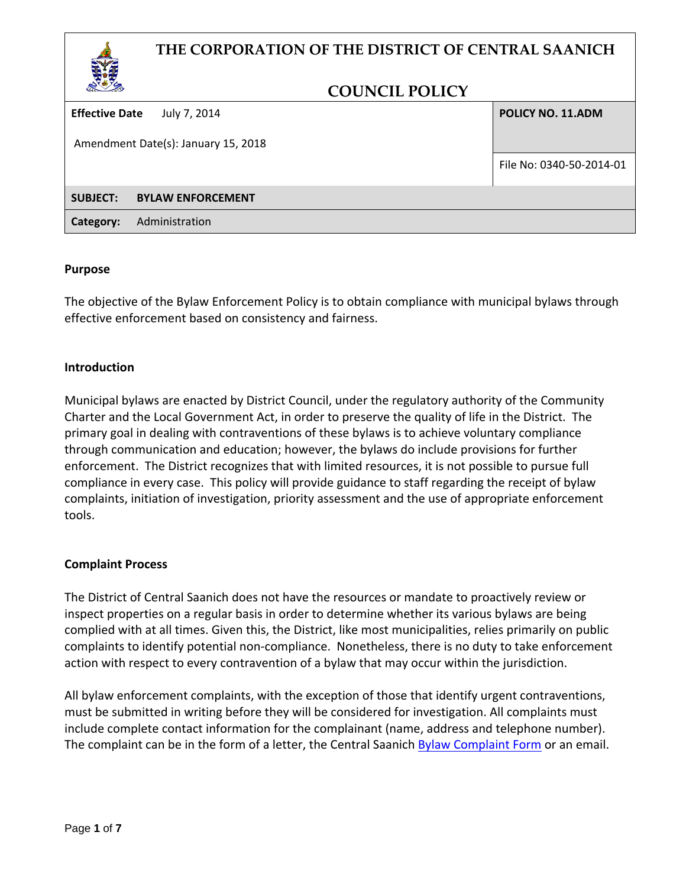## **THE CORPORATION OF THE DISTRICT OF CENTRAL SAANICH**



## **COUNCIL POLICY**

**Effective Date** July 7, 2014

Amendment Date(s): January 15, 2018

**POLICY NO. 11.ADM**

File No: 0340-50-2014-01

**SUBJECT: BYLAW ENFORCEMENT**

**Category:** Administration

#### **Purpose**

The objective of the Bylaw Enforcement Policy is to obtain compliance with municipal bylaws through effective enforcement based on consistency and fairness.

## **Introduction**

Municipal bylaws are enacted by District Council, under the regulatory authority of the Community Charter and the Local Government Act, in order to preserve the quality of life in the District. The primary goal in dealing with contraventions of these bylaws is to achieve voluntary compliance through communication and education; however, the bylaws do include provisions for further enforcement. The District recognizes that with limited resources, it is not possible to pursue full compliance in every case. This policy will provide guidance to staff regarding the receipt of bylaw complaints, initiation of investigation, priority assessment and the use of appropriate enforcement tools.

## **Complaint Process**

The District of Central Saanich does not have the resources or mandate to proactively review or inspect properties on a regular basis in order to determine whether its various bylaws are being complied with at all times. Given this, the District, like most municipalities, relies primarily on public complaints to identify potential non-compliance. Nonetheless, there is no duty to take enforcement action with respect to every contravention of a bylaw that may occur within the jurisdiction.

All bylaw enforcement complaints, with the exception of those that identify urgent contraventions, must be submitted in writing before they will be considered for investigation. All complaints must include complete contact information for the complainant (name, address and telephone number). The complaint can be in the form of a letter, the Central Saanich **Bylaw Complaint Form** or an email.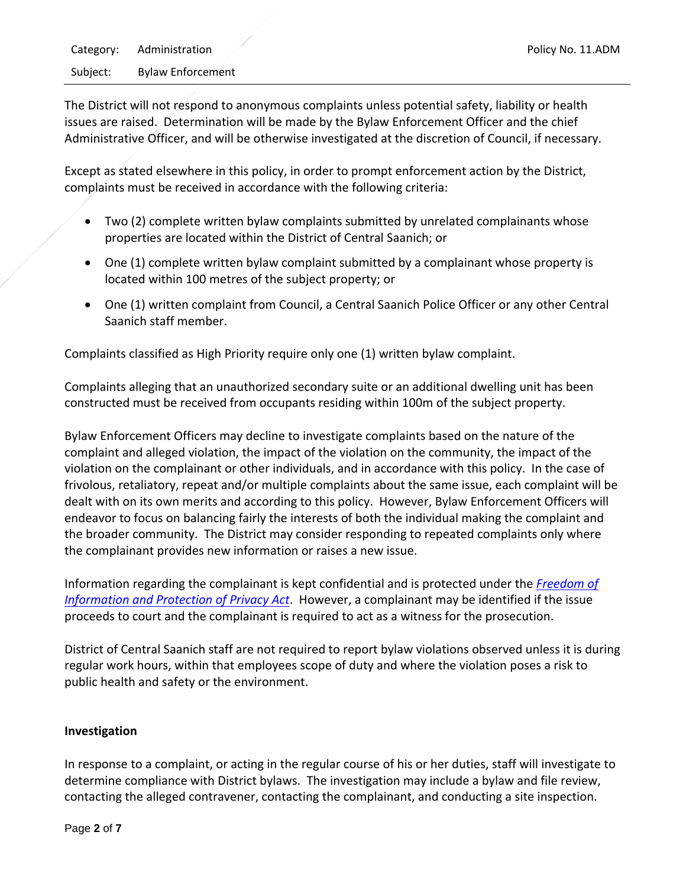The District will not respond to anonymous complaints unless potential safety, liability or health issues are raised. Determination will be made by the Bylaw Enforcement Officer and the chief Administrative Officer, and will be otherwise investigated at the discretion of Council, if necessary.

Except as stated elsewhere in this policy, in order to prompt enforcement action by the District, complaints must be received in accordance with the following criteria:

- Two (2) complete written bylaw complaints submitted by unrelated complainants whose properties are located within the District of Central Saanich; or
- One (1) complete written bylaw complaint submitted by a complainant whose property is located within 100 metres of the subject property; or
- One (1) written complaint from Council, a Central Saanich Police Officer or any other Central Saanich staff member.

Complaints classified as High Priority require only one (1) written bylaw complaint.

Complaints alleging that an unauthorized secondary suite or an additional dwelling unit has been constructed must be received from occupants residing within 100m of the subject property.

Bylaw Enforcement Officers may decline to investigate complaints based on the nature of the complaint and alleged violation, the impact of the violation on the community, the impact of the violation on the complainant or other individuals, and in accordance with this policy. In the case of frivolous, retaliatory, repeat and/or multiple complaints about the same issue, each complaint will be dealt with on its own merits and according to this policy. However, Bylaw Enforcement Officers will endeavor to focus on balancing fairly the interests of both the individual making the complaint and the broader community. The District may consider responding to repeated complaints only where the complainant provides new information or raises a new issue.

Information regarding the complainant is kept confidential and is protected under the *[Freedom of](http://wwww.bclaws.ca/default.html)  [Information and Protection of Privacy Act](http://wwww.bclaws.ca/default.html)*. However, a complainant may be identified if the issue proceeds to court and the complainant is required to act as a witness for the prosecution.

District of Central Saanich staff are not required to report bylaw violations observed unless it is during regular work hours, within that employees scope of duty and where the violation poses a risk to public health and safety or the environment.

## **Investigation**

In response to a complaint, or acting in the regular course of his or her duties, staff will investigate to determine compliance with District bylaws. The investigation may include a bylaw and file review, contacting the alleged contravener, contacting the complainant, and conducting a site inspection.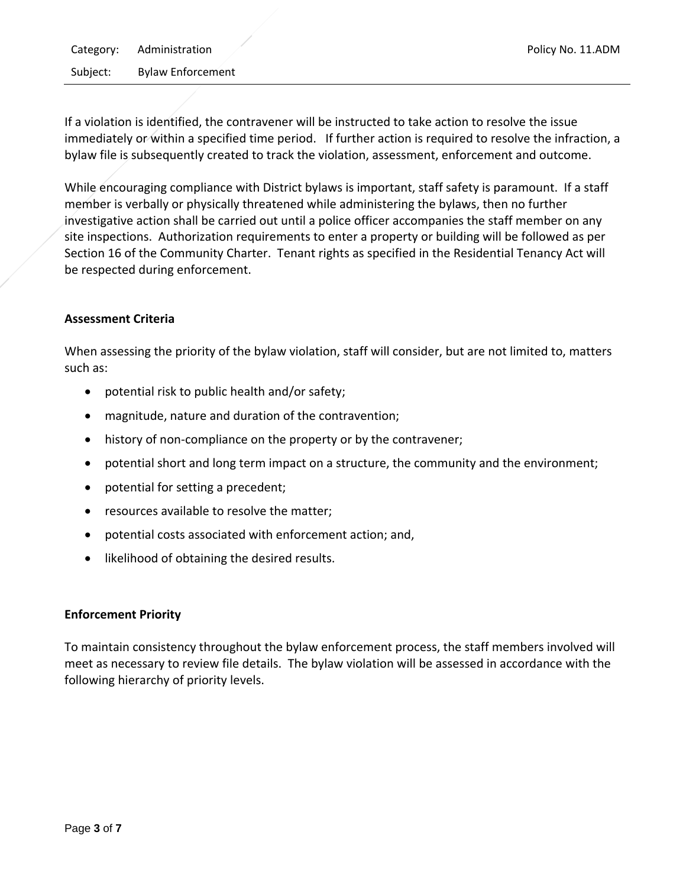If a violation is identified, the contravener will be instructed to take action to resolve the issue immediately or within a specified time period. If further action is required to resolve the infraction, a bylaw file is subsequently created to track the violation, assessment, enforcement and outcome.

While encouraging compliance with District bylaws is important, staff safety is paramount. If a staff member is verbally or physically threatened while administering the bylaws, then no further investigative action shall be carried out until a police officer accompanies the staff member on any site inspections. Authorization requirements to enter a property or building will be followed as per Section 16 of the Community Charter. Tenant rights as specified in the Residential Tenancy Act will be respected during enforcement.

## **Assessment Criteria**

When assessing the priority of the bylaw violation, staff will consider, but are not limited to, matters such as:

- potential risk to public health and/or safety;
- magnitude, nature and duration of the contravention;
- history of non-compliance on the property or by the contravener;
- potential short and long term impact on a structure, the community and the environment;
- potential for setting a precedent;
- resources available to resolve the matter;
- potential costs associated with enforcement action; and,
- likelihood of obtaining the desired results.

## **Enforcement Priority**

To maintain consistency throughout the bylaw enforcement process, the staff members involved will meet as necessary to review file details. The bylaw violation will be assessed in accordance with the following hierarchy of priority levels.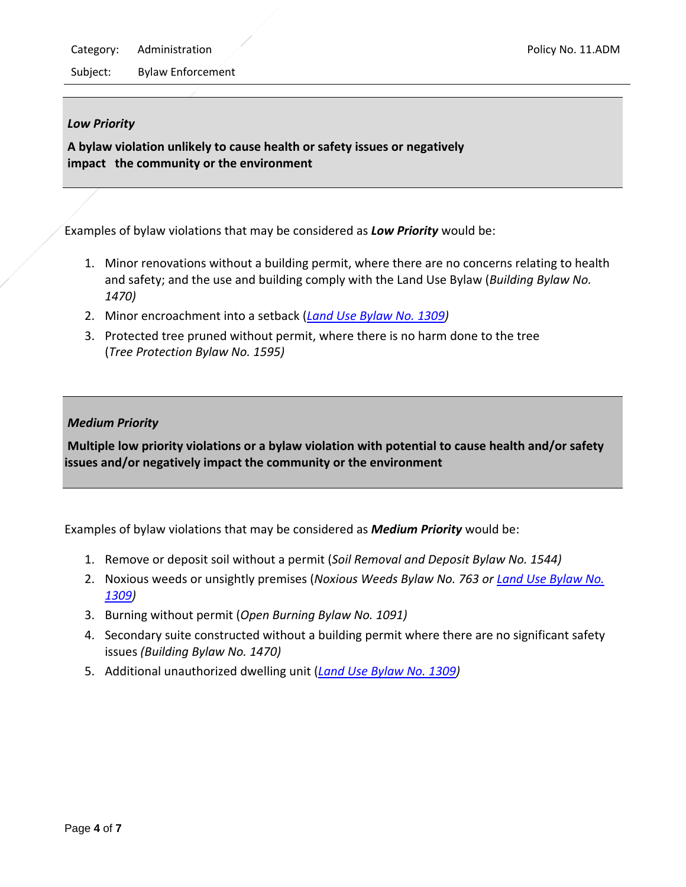Category: Administration **Policy No. 11.ADM** 

Subject: Bylaw Enforcement

## *Low Priority*

**A bylaw violation unlikely to cause health or safety issues or negatively impact the community or the environment**

Examples of bylaw violations that may be considered as *Low Priority* would be:

- 1. Minor renovations without a building permit, where there are no concerns relating to health and safety; and the use and building comply with the Land Use Bylaw (*Building Bylaw No. 1470)*
- 2. Minor encroachment into a setback (*[Land Use Bylaw No. 1309\)](http://www.centralsaanich.ca/Assets/Central+Saanich/Bylaws/Land+Use+Bylaw+(1309).pdf)*
- 3. Protected tree pruned without permit, where there is no harm done to the tree (*Tree Protection Bylaw No. 1595)*

## *Medium Priority*

**Multiple low priority violations or a bylaw violation with potential to cause health and/or safety issues and/or negatively impact the community or the environment**

Examples of bylaw violations that may be considered as *Medium Priority* would be:

- 1. Remove or deposit soil without a permit (*Soil Removal and Deposit Bylaw No. 1544)*
- 2. Noxious weeds or unsightly premises (*Noxious Weeds Bylaw No. 763 or [Land Use Bylaw No.](http://www.centralsaanich.ca/Assets/Central+Saanich/Bylaws/Land+Use+Bylaw+(1309).pdf)  [1309\)](http://www.centralsaanich.ca/Assets/Central+Saanich/Bylaws/Land+Use+Bylaw+(1309).pdf)*
- 3. Burning without permit (*Open Burning Bylaw No. 1091)*
- 4. Secondary suite constructed without a building permit where there are no significant safety issues *(Building Bylaw No. 1470)*
- 5. Additional unauthorized dwelling unit (*[Land Use Bylaw No. 1309\)](http://www.centralsaanich.ca/Assets/Central+Saanich/Bylaws/Land+Use+Bylaw+(1309).pdf)*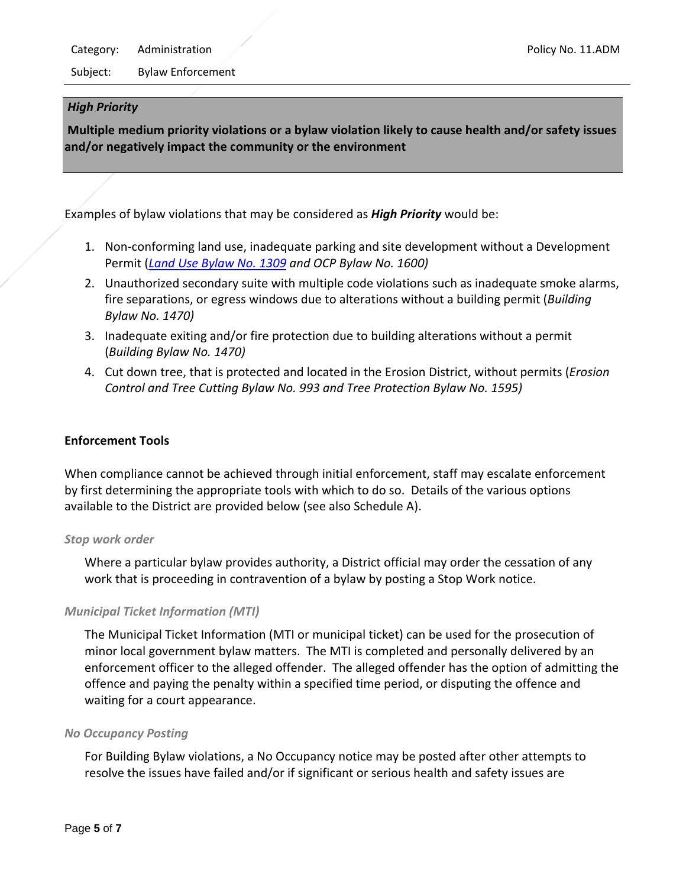#### *High Priority*

**Multiple medium priority violations or a bylaw violation likely to cause health and/or safety issues and/or negatively impact the community or the environment**

Examples of bylaw violations that may be considered as *High Priority* would be:

- 1. Non-conforming land use, inadequate parking and site development without a Development Permit (*[Land Use Bylaw No. 1309](http://www.centralsaanich.ca/Assets/Central+Saanich/Bylaws/Land+Use+Bylaw+(1309).pdf) and OCP Bylaw No. 1600)*
- 2. Unauthorized secondary suite with multiple code violations such as inadequate smoke alarms, fire separations, or egress windows due to alterations without a building permit (*Building Bylaw No. 1470)*
- 3. Inadequate exiting and/or fire protection due to building alterations without a permit (*Building Bylaw No. 1470)*
- 4. Cut down tree, that is protected and located in the Erosion District, without permits (*Erosion Control and Tree Cutting Bylaw No. 993 and Tree Protection Bylaw No. 1595)*

## **Enforcement Tools**

When compliance cannot be achieved through initial enforcement, staff may escalate enforcement by first determining the appropriate tools with which to do so. Details of the various options available to the District are provided below (see also Schedule A).

#### *Stop work order*

Where a particular bylaw provides authority, a District official may order the cessation of any work that is proceeding in contravention of a bylaw by posting a Stop Work notice.

## *Municipal Ticket Information (MTI)*

The Municipal Ticket Information (MTI or municipal ticket) can be used for the prosecution of minor local government bylaw matters. The MTI is completed and personally delivered by an enforcement officer to the alleged offender. The alleged offender has the option of admitting the offence and paying the penalty within a specified time period, or disputing the offence and waiting for a court appearance.

## *No Occupancy Posting*

For Building Bylaw violations, a No Occupancy notice may be posted after other attempts to resolve the issues have failed and/or if significant or serious health and safety issues are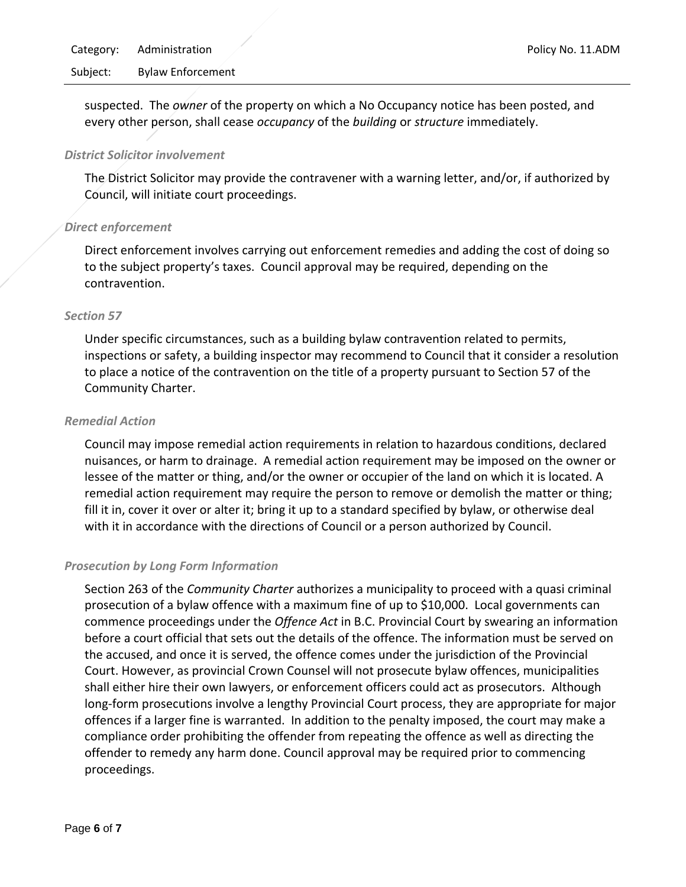Subject: Bylaw Enforcement

suspected. The *owner* of the property on which a No Occupancy notice has been posted, and every other person, shall cease *occupancy* of the *building* or *structure* immediately.

#### *District Solicitor involvement*

The District Solicitor may provide the contravener with a warning letter, and/or, if authorized by Council, will initiate court proceedings.

#### *Direct enforcement*

Direct enforcement involves carrying out enforcement remedies and adding the cost of doing so to the subject property's taxes. Council approval may be required, depending on the contravention.

#### *Section 57*

Under specific circumstances, such as a building bylaw contravention related to permits, inspections or safety, a building inspector may recommend to Council that it consider a resolution to place a notice of the contravention on the title of a property pursuant to Section 57 of the Community Charter.

#### *Remedial Action*

Council may impose remedial action requirements in relation to hazardous conditions, declared nuisances, or harm to drainage. A remedial action requirement may be imposed on the owner or lessee of the matter or thing, and/or the owner or occupier of the land on which it is located. A remedial action requirement may require the person to remove or demolish the matter or thing; fill it in, cover it over or alter it; bring it up to a standard specified by bylaw, or otherwise deal with it in accordance with the directions of Council or a person authorized by Council.

## *Prosecution by Long Form Information*

Section 263 of the *Community Charter* authorizes a municipality to proceed with a quasi criminal prosecution of a bylaw offence with a maximum fine of up to \$10,000. Local governments can commence proceedings under the *Offence Act* in B.C. Provincial Court by swearing an information before a court official that sets out the details of the offence. The information must be served on the accused, and once it is served, the offence comes under the jurisdiction of the Provincial Court. However, as provincial Crown Counsel will not prosecute bylaw offences, municipalities shall either hire their own lawyers, or enforcement officers could act as prosecutors. Although long-form prosecutions involve a lengthy Provincial Court process, they are appropriate for major offences if a larger fine is warranted. In addition to the penalty imposed, the court may make a compliance order prohibiting the offender from repeating the offence as well as directing the offender to remedy any harm done. Council approval may be required prior to commencing proceedings.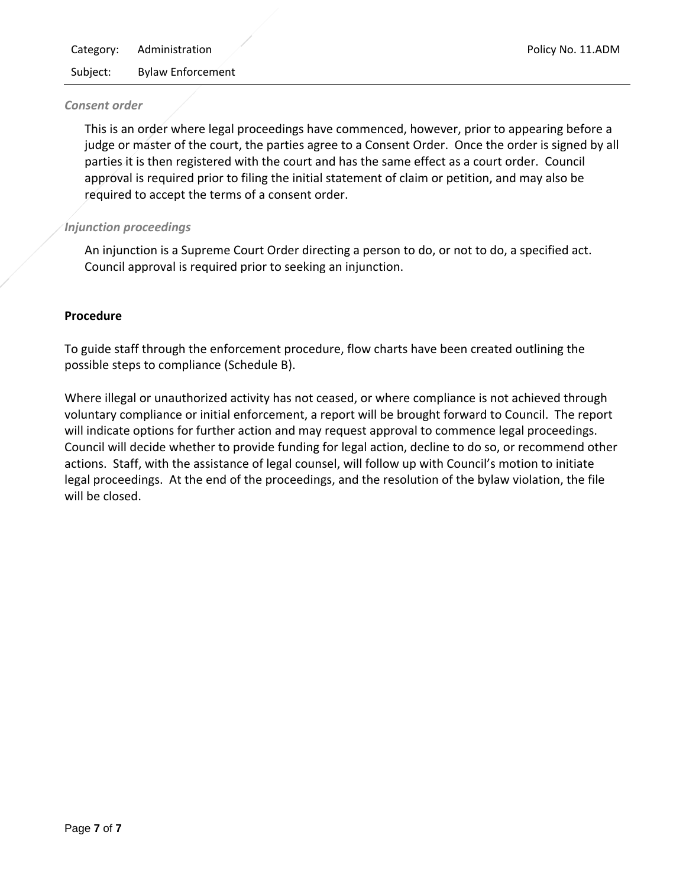#### *Consent order*

This is an order where legal proceedings have commenced, however, prior to appearing before a judge or master of the court, the parties agree to a Consent Order. Once the order is signed by all parties it is then registered with the court and has the same effect as a court order. Council approval is required prior to filing the initial statement of claim or petition, and may also be required to accept the terms of a consent order.

#### *Injunction proceedings*

An injunction is a Supreme Court Order directing a person to do, or not to do, a specified act. Council approval is required prior to seeking an injunction.

#### **Procedure**

To guide staff through the enforcement procedure, flow charts have been created outlining the possible steps to compliance (Schedule B).

Where illegal or unauthorized activity has not ceased, or where compliance is not achieved through voluntary compliance or initial enforcement, a report will be brought forward to Council. The report will indicate options for further action and may request approval to commence legal proceedings. Council will decide whether to provide funding for legal action, decline to do so, or recommend other actions. Staff, with the assistance of legal counsel, will follow up with Council's motion to initiate legal proceedings. At the end of the proceedings, and the resolution of the bylaw violation, the file will be closed.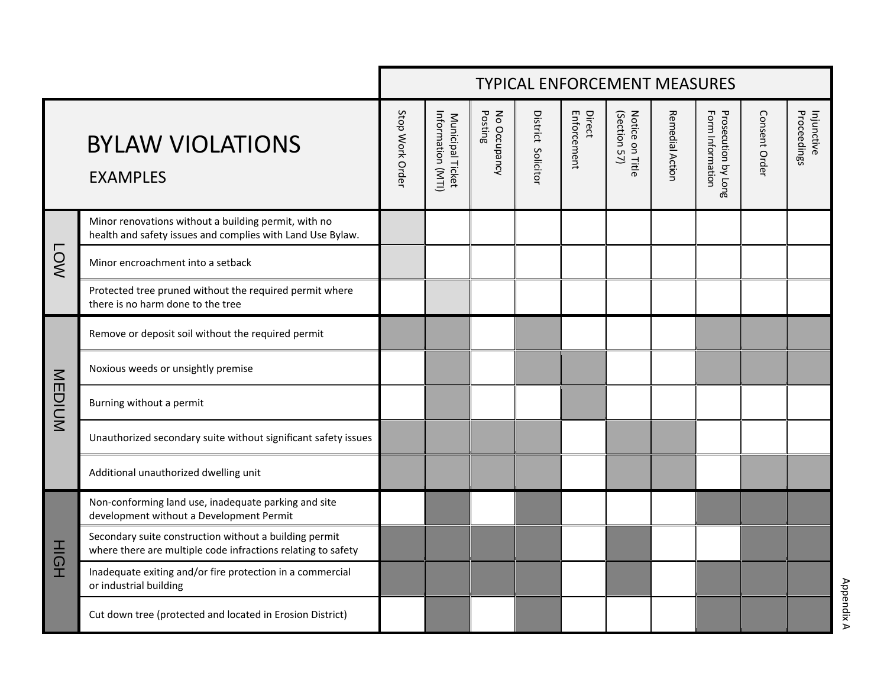|                     |                                                                                                                        | <b>TYPICAL ENFORCEMENT MEASURES</b> |                                       |                         |                    |                       |                                 |                        |                                         |               |                           |
|---------------------|------------------------------------------------------------------------------------------------------------------------|-------------------------------------|---------------------------------------|-------------------------|--------------------|-----------------------|---------------------------------|------------------------|-----------------------------------------|---------------|---------------------------|
|                     | <b>BYLAW VIOLATIONS</b><br><b>EXAMPLES</b>                                                                             | Stop Work Order                     | Information (MTI)<br>Municipal Ticket | No Occupancy<br>Posting | District Solicitor | Enforcement<br>Direct | Notice on Title<br>(Section 57) | <b>Remedial Action</b> | Form Information<br>Prosecution by Long | Consent Order | Proceedings<br>Injunctive |
| <b>LOW</b>          | Minor renovations without a building permit, with no<br>health and safety issues and complies with Land Use Bylaw.     |                                     |                                       |                         |                    |                       |                                 |                        |                                         |               |                           |
|                     | Minor encroachment into a setback                                                                                      |                                     |                                       |                         |                    |                       |                                 |                        |                                         |               |                           |
|                     | Protected tree pruned without the required permit where<br>there is no harm done to the tree                           |                                     |                                       |                         |                    |                       |                                 |                        |                                         |               |                           |
| MEDIUM              | Remove or deposit soil without the required permit                                                                     |                                     |                                       |                         |                    |                       |                                 |                        |                                         |               |                           |
|                     | Noxious weeds or unsightly premise                                                                                     |                                     |                                       |                         |                    |                       |                                 |                        |                                         |               |                           |
|                     | Burning without a permit                                                                                               |                                     |                                       |                         |                    |                       |                                 |                        |                                         |               |                           |
|                     | Unauthorized secondary suite without significant safety issues                                                         |                                     |                                       |                         |                    |                       |                                 |                        |                                         |               |                           |
|                     | Additional unauthorized dwelling unit                                                                                  |                                     |                                       |                         |                    |                       |                                 |                        |                                         |               |                           |
| $\frac{1}{5}$<br>I. | Non-conforming land use, inadequate parking and site<br>development without a Development Permit                       |                                     |                                       |                         |                    |                       |                                 |                        |                                         |               |                           |
|                     | Secondary suite construction without a building permit<br>where there are multiple code infractions relating to safety |                                     |                                       |                         |                    |                       |                                 |                        |                                         |               |                           |
|                     | Inadequate exiting and/or fire protection in a commercial<br>or industrial building                                    |                                     |                                       |                         |                    |                       |                                 |                        |                                         |               |                           |
|                     | Cut down tree (protected and located in Erosion District)                                                              |                                     |                                       |                         |                    |                       |                                 |                        |                                         |               |                           |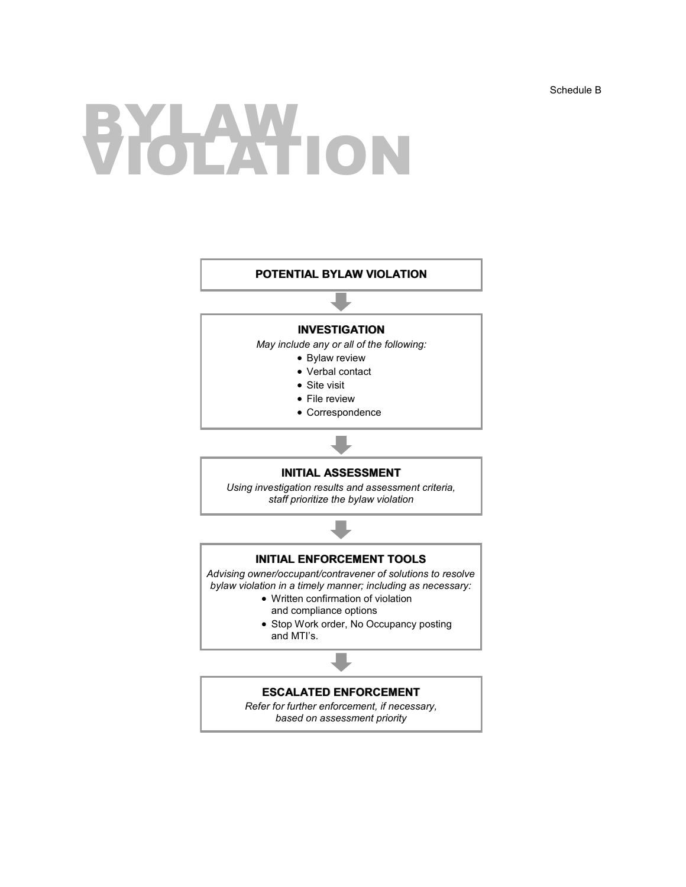## BYLAW ION

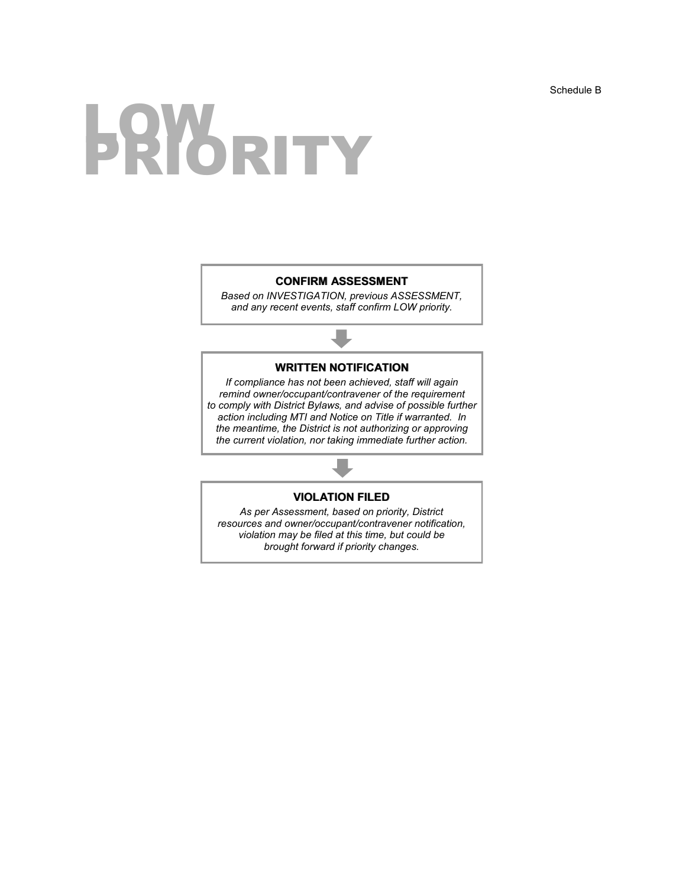# **LOW RITY**

#### **CONFIRM ASSESSMENT**

*Based on INVESTIGATION, previous ASSESSMENT, and any recent events, staff confirm LOW priority.*

#### **WRITTEN NOTIFICATION**

*If compliance has not been achieved, staff will again remind owner/occupant/contravener of the requirement to comply with District Bylaws, and advise of possible further action including MTI and Notice on Title if warranted. In the meantime, the District is not authorizing or approving the current violation, nor taking immediate further action.*

#### **VIOLATION FILED**

*As per Assessment, based on priority, District resources and owner/occupant/contravener notification, violation may be filed at this time, but could be brought forward if priority changes.*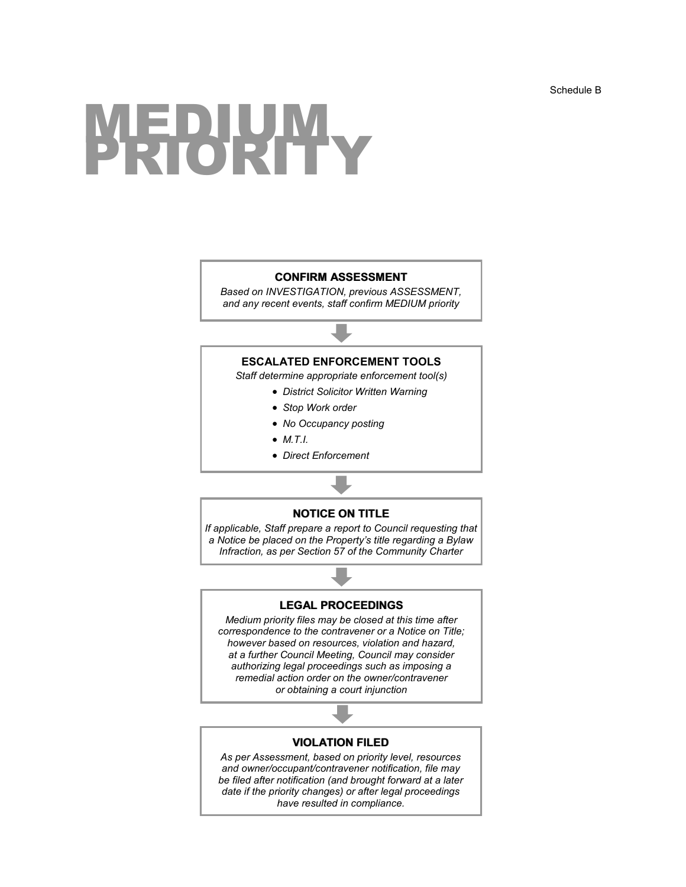## MEDIUM<br>PRIORITY

#### **CONFIRM ASSESSMENT**

*Based on INVESTIGATION, previous ASSESSMENT, and any recent events, staff confirm MEDIUM priority*

#### **ESCALATED ENFORCEMENT TOOLS**

*Staff determine appropriate enforcement tool(s)*

- *District Solicitor Written Warning*
- *Stop Work order*
- *No Occupancy posting*
- *M.T.I.*
- *Direct Enforcement*

#### **NOTICE ON TITLE**

*If applicable, Staff prepare a report to Council requesting that a Notice be placed on the Property's title regarding a Bylaw Infraction, as per Section 57 of the Community Charter*

#### **LEGAL PROCEEDINGS**

*Medium priority files may be closed at this time after correspondence to the contravener or a Notice on Title; however based on resources, violation and hazard, at a further Council Meeting, Council may consider authorizing legal proceedings such as imposing a remedial action order on the owner/contravener or obtaining a court injunction*

#### **VIOLATION FILED**

*As per Assessment, based on priority level, resources and owner/occupant/contravener notification, file may be filed after notification (and brought forward at a later date if the priority changes) or after legal proceedings have resulted in compliance.*